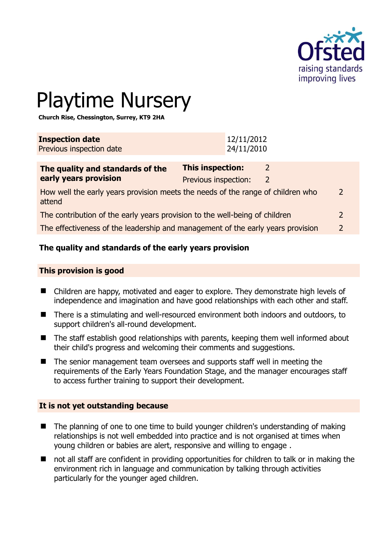

# Playtime Nursery

**Church Rise, Chessington, Surrey, KT9 2HA** 

| <b>Inspection date</b>          | 12/11/2012 |
|---------------------------------|------------|
| <b>Previous inspection date</b> | 24/11/2010 |
|                                 |            |

| The quality and standards of the                                                          | <b>This inspection:</b> |   |               |
|-------------------------------------------------------------------------------------------|-------------------------|---|---------------|
| early years provision                                                                     | Previous inspection:    | 2 |               |
| How well the early years provision meets the needs of the range of children who<br>attend |                         |   | $\mathcal{L}$ |
| The contribution of the early years provision to the well-being of children               |                         |   | $\mathcal{L}$ |
| The effectiveness of the leadership and management of the early years provision           |                         |   | $\mathcal{D}$ |
|                                                                                           |                         |   |               |

## **The quality and standards of the early years provision**

#### **This provision is good**

- Children are happy, motivated and eager to explore. They demonstrate high levels of independence and imagination and have good relationships with each other and staff.
- There is a stimulating and well-resourced environment both indoors and outdoors, to support children's all-round development.
- The staff establish good relationships with parents, keeping them well informed about their child's progress and welcoming their comments and suggestions.
- The senior management team oversees and supports staff well in meeting the requirements of the Early Years Foundation Stage, and the manager encourages staff to access further training to support their development.

#### **It is not yet outstanding because**

- The planning of one to one time to build younger children's understanding of making relationships is not well embedded into practice and is not organised at times when young children or babies are alert, responsive and willing to engage .
- not all staff are confident in providing opportunities for children to talk or in making the environment rich in language and communication by talking through activities particularly for the younger aged children.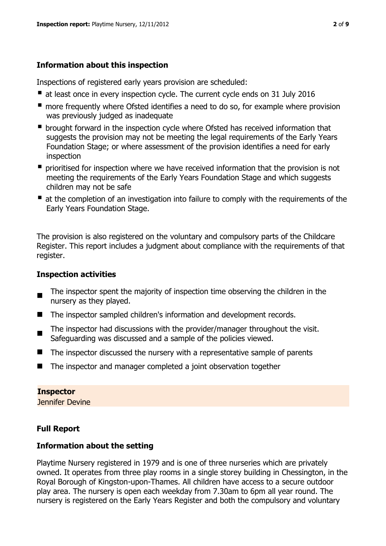# **Information about this inspection**

Inspections of registered early years provision are scheduled:

- at least once in every inspection cycle. The current cycle ends on 31 July 2016
- **n** more frequently where Ofsted identifies a need to do so, for example where provision was previously judged as inadequate
- **•** brought forward in the inspection cycle where Ofsted has received information that suggests the provision may not be meeting the legal requirements of the Early Years Foundation Stage; or where assessment of the provision identifies a need for early inspection
- **P** prioritised for inspection where we have received information that the provision is not meeting the requirements of the Early Years Foundation Stage and which suggests children may not be safe
- at the completion of an investigation into failure to comply with the requirements of the Early Years Foundation Stage.

The provision is also registered on the voluntary and compulsory parts of the Childcare Register. This report includes a judgment about compliance with the requirements of that register.

## **Inspection activities**

- $\blacksquare$ The inspector spent the majority of inspection time observing the children in the nursery as they played.
- The inspector sampled children's information and development records.
- $\blacksquare$ The inspector had discussions with the provider/manager throughout the visit. Safeguarding was discussed and a sample of the policies viewed.
- The inspector discussed the nursery with a representative sample of parents
- The inspector and manager completed a joint observation together

## **Inspector**

Jennifer Devine

# **Full Report**

## **Information about the setting**

Playtime Nursery registered in 1979 and is one of three nurseries which are privately owned. It operates from three play rooms in a single storey building in Chessington, in the Royal Borough of Kingston-upon-Thames. All children have access to a secure outdoor play area. The nursery is open each weekday from 7.30am to 6pm all year round. The nursery is registered on the Early Years Register and both the compulsory and voluntary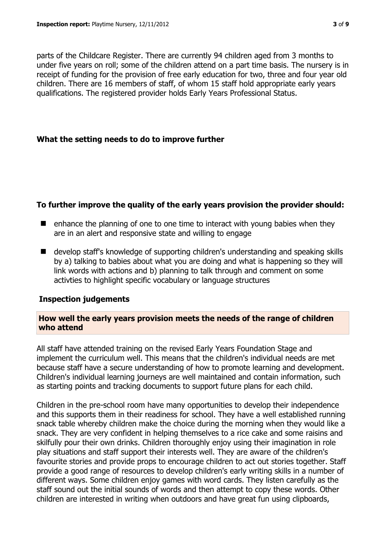parts of the Childcare Register. There are currently 94 children aged from 3 months to under five years on roll; some of the children attend on a part time basis. The nursery is in receipt of funding for the provision of free early education for two, three and four year old children. There are 16 members of staff, of whom 15 staff hold appropriate early years qualifications. The registered provider holds Early Years Professional Status.

## **What the setting needs to do to improve further**

## **To further improve the quality of the early years provision the provider should:**

- $\blacksquare$  enhance the planning of one to one time to interact with young babies when they are in an alert and responsive state and willing to engage
- develop staff's knowledge of supporting children's understanding and speaking skills by a) talking to babies about what you are doing and what is happening so they will link words with actions and b) planning to talk through and comment on some activties to highlight specific vocabulary or language structures

## **Inspection judgements**

#### **How well the early years provision meets the needs of the range of children who attend**

All staff have attended training on the revised Early Years Foundation Stage and implement the curriculum well. This means that the children's individual needs are met because staff have a secure understanding of how to promote learning and development. Children's individual learning journeys are well maintained and contain information, such as starting points and tracking documents to support future plans for each child.

Children in the pre-school room have many opportunities to develop their independence and this supports them in their readiness for school. They have a well established running snack table whereby children make the choice during the morning when they would like a snack. They are very confident in helping themselves to a rice cake and some raisins and skilfully pour their own drinks. Children thoroughly enjoy using their imagination in role play situations and staff support their interests well. They are aware of the children's favourite stories and provide props to encourage children to act out stories together. Staff provide a good range of resources to develop children's early writing skills in a number of different ways. Some children enjoy games with word cards. They listen carefully as the staff sound out the initial sounds of words and then attempt to copy these words. Other children are interested in writing when outdoors and have great fun using clipboards,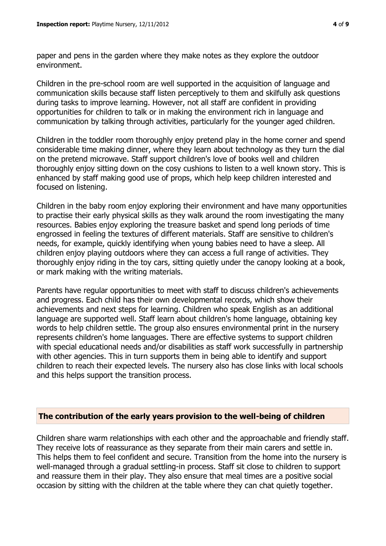paper and pens in the garden where they make notes as they explore the outdoor environment.

Children in the pre-school room are well supported in the acquisition of language and communication skills because staff listen perceptively to them and skilfully ask questions during tasks to improve learning. However, not all staff are confident in providing opportunities for children to talk or in making the environment rich in language and communication by talking through activities, particularly for the younger aged children.

Children in the toddler room thoroughly enjoy pretend play in the home corner and spend considerable time making dinner, where they learn about technology as they turn the dial on the pretend microwave. Staff support children's love of books well and children thoroughly enjoy sitting down on the cosy cushions to listen to a well known story. This is enhanced by staff making good use of props, which help keep children interested and focused on listening.

Children in the baby room enjoy exploring their environment and have many opportunities to practise their early physical skills as they walk around the room investigating the many resources. Babies enjoy exploring the treasure basket and spend long periods of time engrossed in feeling the textures of different materials. Staff are sensitive to children's needs, for example, quickly identifying when young babies need to have a sleep. All children enjoy playing outdoors where they can access a full range of activities. They thoroughly enjoy riding in the toy cars, sitting quietly under the canopy looking at a book, or mark making with the writing materials.

Parents have regular opportunities to meet with staff to discuss children's achievements and progress. Each child has their own developmental records, which show their achievements and next steps for learning. Children who speak English as an additional language are supported well. Staff learn about children's home language, obtaining key words to help children settle. The group also ensures environmental print in the nursery represents children's home languages. There are effective systems to support children with special educational needs and/or disabilities as staff work successfully in partnership with other agencies. This in turn supports them in being able to identify and support children to reach their expected levels. The nursery also has close links with local schools and this helps support the transition process.

#### **The contribution of the early years provision to the well-being of children**

Children share warm relationships with each other and the approachable and friendly staff. They receive lots of reassurance as they separate from their main carers and settle in. This helps them to feel confident and secure. Transition from the home into the nursery is well-managed through a gradual settling-in process. Staff sit close to children to support and reassure them in their play. They also ensure that meal times are a positive social occasion by sitting with the children at the table where they can chat quietly together.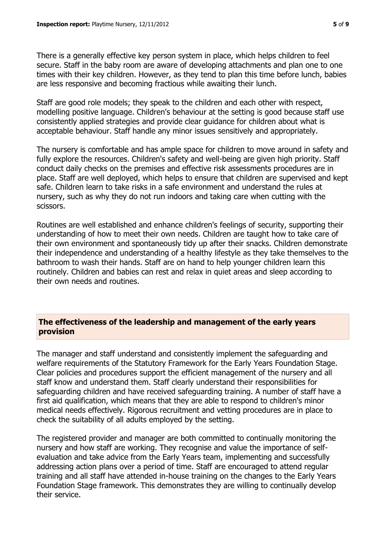There is a generally effective key person system in place, which helps children to feel secure. Staff in the baby room are aware of developing attachments and plan one to one times with their key children. However, as they tend to plan this time before lunch, babies are less responsive and becoming fractious while awaiting their lunch.

Staff are good role models; they speak to the children and each other with respect, modelling positive language. Children's behaviour at the setting is good because staff use consistently applied strategies and provide clear guidance for children about what is acceptable behaviour. Staff handle any minor issues sensitively and appropriately.

The nursery is comfortable and has ample space for children to move around in safety and fully explore the resources. Children's safety and well-being are given high priority. Staff conduct daily checks on the premises and effective risk assessments procedures are in place. Staff are well deployed, which helps to ensure that children are supervised and kept safe. Children learn to take risks in a safe environment and understand the rules at nursery, such as why they do not run indoors and taking care when cutting with the scissors.

Routines are well established and enhance children's feelings of security, supporting their understanding of how to meet their own needs. Children are taught how to take care of their own environment and spontaneously tidy up after their snacks. Children demonstrate their independence and understanding of a healthy lifestyle as they take themselves to the bathroom to wash their hands. Staff are on hand to help younger children learn this routinely. Children and babies can rest and relax in quiet areas and sleep according to their own needs and routines.

## **The effectiveness of the leadership and management of the early years provision**

The manager and staff understand and consistently implement the safeguarding and welfare requirements of the Statutory Framework for the Early Years Foundation Stage. Clear policies and procedures support the efficient management of the nursery and all staff know and understand them. Staff clearly understand their responsibilities for safeguarding children and have received safeguarding training. A number of staff have a first aid qualification, which means that they are able to respond to children's minor medical needs effectively. Rigorous recruitment and vetting procedures are in place to check the suitability of all adults employed by the setting.

The registered provider and manager are both committed to continually monitoring the nursery and how staff are working. They recognise and value the importance of selfevaluation and take advice from the Early Years team, implementing and successfully addressing action plans over a period of time. Staff are encouraged to attend regular training and all staff have attended in-house training on the changes to the Early Years Foundation Stage framework. This demonstrates they are willing to continually develop their service.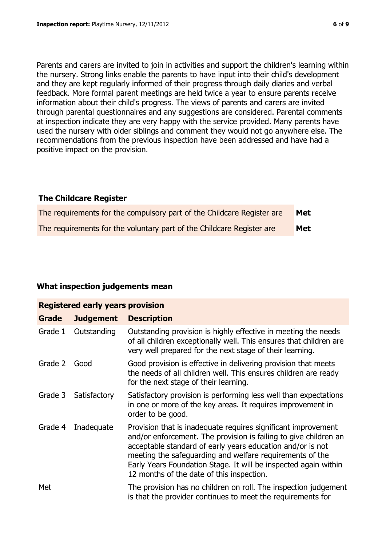Parents and carers are invited to join in activities and support the children's learning within the nursery. Strong links enable the parents to have input into their child's development and they are kept regularly informed of their progress through daily diaries and verbal feedback. More formal parent meetings are held twice a year to ensure parents receive information about their child's progress. The views of parents and carers are invited through parental questionnaires and any suggestions are considered. Parental comments at inspection indicate they are very happy with the service provided. Many parents have used the nursery with older siblings and comment they would not go anywhere else. The recommendations from the previous inspection have been addressed and have had a positive impact on the provision.

#### **The Childcare Register**

| The requirements for the compulsory part of the Childcare Register are | Met |
|------------------------------------------------------------------------|-----|
| The requirements for the voluntary part of the Childcare Register are  | Met |

## **What inspection judgements mean**

| <b>Registered early years provision</b> |                  |                                                                                                                                                                                                                                                                                                                                                                             |  |  |
|-----------------------------------------|------------------|-----------------------------------------------------------------------------------------------------------------------------------------------------------------------------------------------------------------------------------------------------------------------------------------------------------------------------------------------------------------------------|--|--|
| Grade                                   | <b>Judgement</b> | <b>Description</b>                                                                                                                                                                                                                                                                                                                                                          |  |  |
| Grade 1                                 | Outstanding      | Outstanding provision is highly effective in meeting the needs<br>of all children exceptionally well. This ensures that children are<br>very well prepared for the next stage of their learning.                                                                                                                                                                            |  |  |
| Grade 2                                 | Good             | Good provision is effective in delivering provision that meets<br>the needs of all children well. This ensures children are ready<br>for the next stage of their learning.                                                                                                                                                                                                  |  |  |
| Grade 3                                 | Satisfactory     | Satisfactory provision is performing less well than expectations<br>in one or more of the key areas. It requires improvement in<br>order to be good.                                                                                                                                                                                                                        |  |  |
| Grade 4                                 | Inadequate       | Provision that is inadequate requires significant improvement<br>and/or enforcement. The provision is failing to give children an<br>acceptable standard of early years education and/or is not<br>meeting the safeguarding and welfare requirements of the<br>Early Years Foundation Stage. It will be inspected again within<br>12 months of the date of this inspection. |  |  |
| Met                                     |                  | The provision has no children on roll. The inspection judgement<br>is that the provider continues to meet the requirements for                                                                                                                                                                                                                                              |  |  |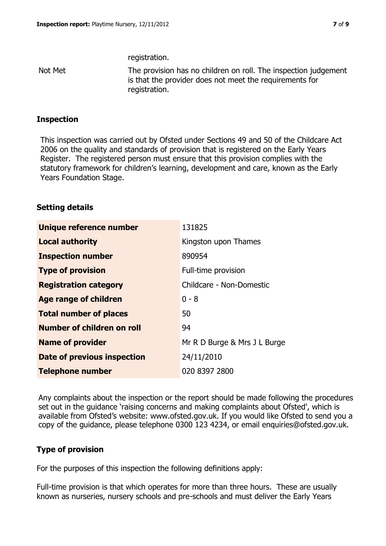registration.

Not Met The provision has no children on roll. The inspection judgement is that the provider does not meet the requirements for registration.

# **Inspection**

This inspection was carried out by Ofsted under Sections 49 and 50 of the Childcare Act 2006 on the quality and standards of provision that is registered on the Early Years Register. The registered person must ensure that this provision complies with the statutory framework for children's learning, development and care, known as the Early Years Foundation Stage.

## **Setting details**

| Unique reference number            | 131825                       |
|------------------------------------|------------------------------|
| <b>Local authority</b>             | Kingston upon Thames         |
| <b>Inspection number</b>           | 890954                       |
| <b>Type of provision</b>           | Full-time provision          |
| <b>Registration category</b>       | Childcare - Non-Domestic     |
| <b>Age range of children</b>       | $0 - 8$                      |
| <b>Total number of places</b>      | 50                           |
| Number of children on roll         | 94                           |
| <b>Name of provider</b>            | Mr R D Burge & Mrs J L Burge |
| <b>Date of previous inspection</b> | 24/11/2010                   |
| <b>Telephone number</b>            | 020 8397 2800                |

Any complaints about the inspection or the report should be made following the procedures set out in the guidance 'raising concerns and making complaints about Ofsted', which is available from Ofsted's website: www.ofsted.gov.uk. If you would like Ofsted to send you a copy of the guidance, please telephone 0300 123 4234, or email enquiries@ofsted.gov.uk.

## **Type of provision**

For the purposes of this inspection the following definitions apply:

Full-time provision is that which operates for more than three hours. These are usually known as nurseries, nursery schools and pre-schools and must deliver the Early Years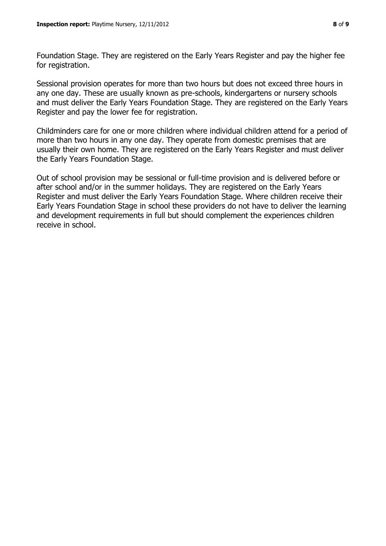Foundation Stage. They are registered on the Early Years Register and pay the higher fee for registration.

Sessional provision operates for more than two hours but does not exceed three hours in any one day. These are usually known as pre-schools, kindergartens or nursery schools and must deliver the Early Years Foundation Stage. They are registered on the Early Years Register and pay the lower fee for registration.

Childminders care for one or more children where individual children attend for a period of more than two hours in any one day. They operate from domestic premises that are usually their own home. They are registered on the Early Years Register and must deliver the Early Years Foundation Stage.

Out of school provision may be sessional or full-time provision and is delivered before or after school and/or in the summer holidays. They are registered on the Early Years Register and must deliver the Early Years Foundation Stage. Where children receive their Early Years Foundation Stage in school these providers do not have to deliver the learning and development requirements in full but should complement the experiences children receive in school.